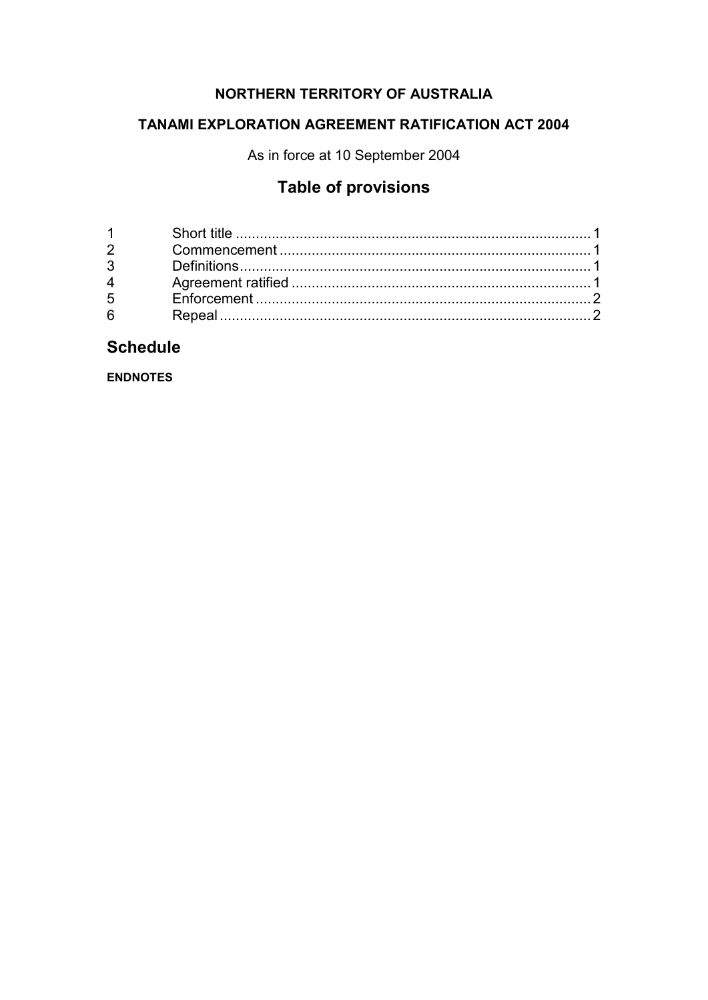# NORTHERN TERRITORY OF AUSTRALIA

# **TANAMI EXPLORATION AGREEMENT RATIFICATION ACT 2004**

As in force at 10 September 2004

# **Table of provisions**

| $1 \quad \blacksquare$ |  |
|------------------------|--|
| $2^{\sim}$             |  |
| $3^{\circ}$            |  |
| $4 \quad$              |  |
| $5^{\circ}$            |  |
| $6 \qquad$             |  |
|                        |  |

# **Schedule**

**ENDNOTES**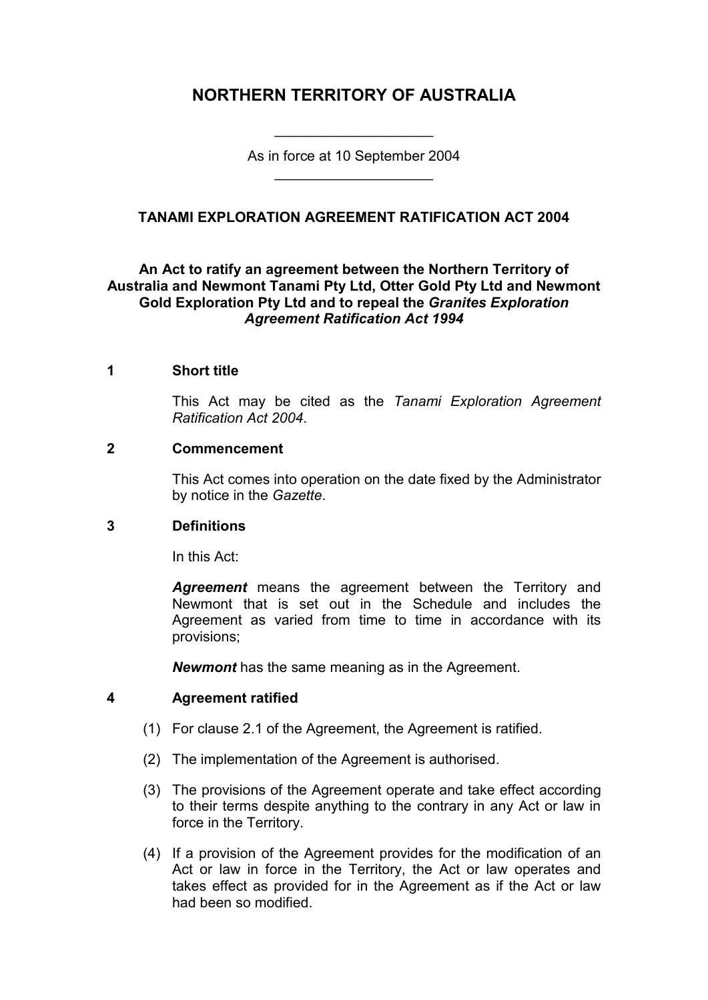# **NORTHERN TERRITORY OF AUSTRALIA**

As in force at 10 September 2004 \_\_\_\_\_\_\_\_\_\_\_\_\_\_\_\_\_\_\_\_

\_\_\_\_\_\_\_\_\_\_\_\_\_\_\_\_\_\_\_\_

## **TANAMI EXPLORATION AGREEMENT RATIFICATION ACT 2004**

## **An Act to ratify an agreement between the Northern Territory of Australia and Newmont Tanami Pty Ltd, Otter Gold Pty Ltd and Newmont Gold Exploration Pty Ltd and to repeal the** *Granites Exploration Agreement Ratification Act 1994*

#### **1 Short title**

This Act may be cited as the *Tanami Exploration Agreement Ratification Act 2004*.

#### **2 Commencement**

This Act comes into operation on the date fixed by the Administrator by notice in the *Gazette*.

## **3 Definitions**

In this Act:

*Agreement* means the agreement between the Territory and Newmont that is set out in the Schedule and includes the Agreement as varied from time to time in accordance with its provisions;

*Newmont* has the same meaning as in the Agreement.

## **4 Agreement ratified**

- (1) For clause 2.1 of the Agreement, the Agreement is ratified.
- (2) The implementation of the Agreement is authorised.
- (3) The provisions of the Agreement operate and take effect according to their terms despite anything to the contrary in any Act or law in force in the Territory.
- (4) If a provision of the Agreement provides for the modification of an Act or law in force in the Territory, the Act or law operates and takes effect as provided for in the Agreement as if the Act or law had been so modified.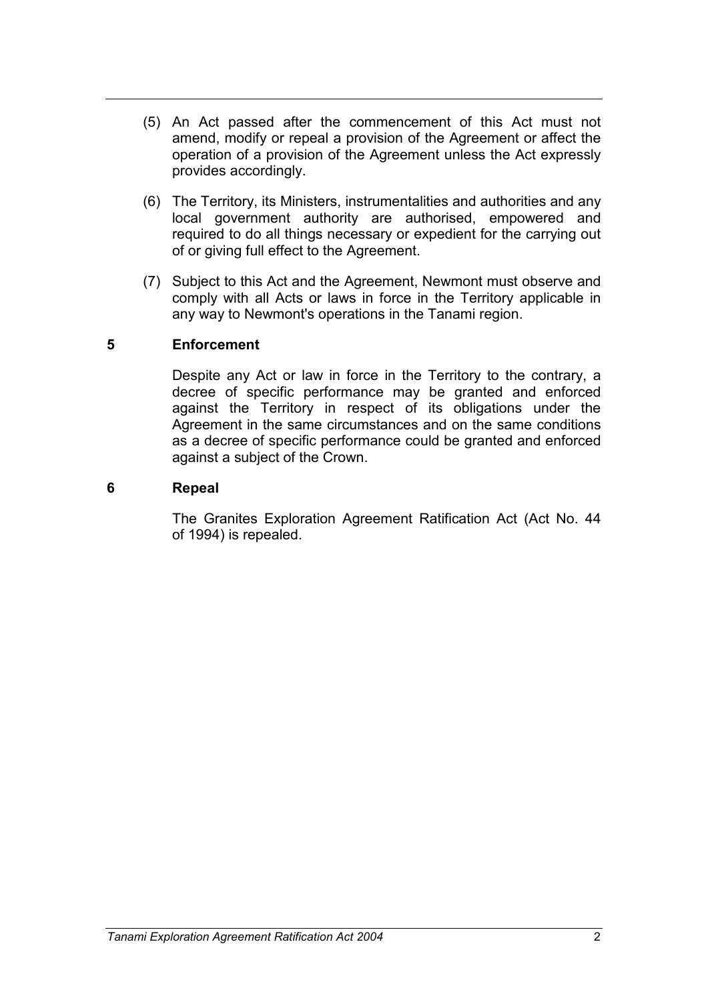- (5) An Act passed after the commencement of this Act must not amend, modify or repeal a provision of the Agreement or affect the operation of a provision of the Agreement unless the Act expressly provides accordingly.
- (6) The Territory, its Ministers, instrumentalities and authorities and any local government authority are authorised, empowered and required to do all things necessary or expedient for the carrying out of or giving full effect to the Agreement.
- (7) Subject to this Act and the Agreement, Newmont must observe and comply with all Acts or laws in force in the Territory applicable in any way to Newmont's operations in the Tanami region.

## **5 Enforcement**

Despite any Act or law in force in the Territory to the contrary, a decree of specific performance may be granted and enforced against the Territory in respect of its obligations under the Agreement in the same circumstances and on the same conditions as a decree of specific performance could be granted and enforced against a subject of the Crown.

## **6 Repeal**

The Granites Exploration Agreement Ratification Act (Act No. 44 of 1994) is repealed.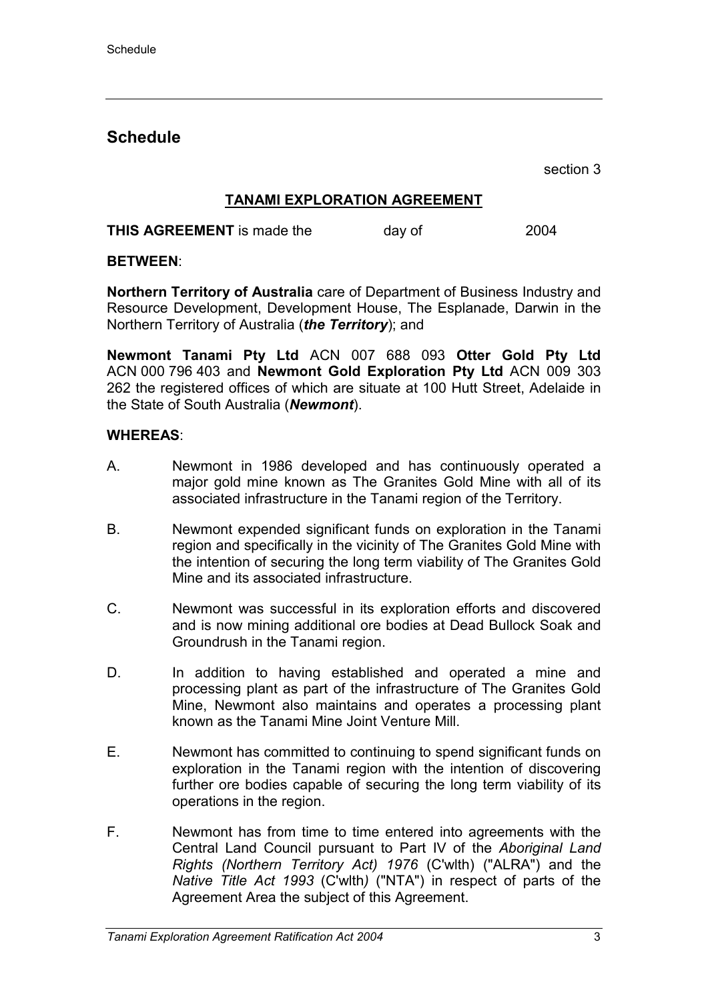# **Schedule**

section 3

## **TANAMI EXPLORATION AGREEMENT**

**THIS AGREEMENT** is made the day of 2004

## **BETWEEN**:

**Northern Territory of Australia** care of Department of Business Industry and Resource Development, Development House, The Esplanade, Darwin in the Northern Territory of Australia (*the Territory*); and

**Newmont Tanami Pty Ltd** ACN 007 688 093 **Otter Gold Pty Ltd** ACN 000 796 403 and **Newmont Gold Exploration Pty Ltd** ACN 009 303 262 the registered offices of which are situate at 100 Hutt Street, Adelaide in the State of South Australia (*Newmont*).

## **WHEREAS**:

- A. Newmont in 1986 developed and has continuously operated a major gold mine known as The Granites Gold Mine with all of its associated infrastructure in the Tanami region of the Territory.
- B. Newmont expended significant funds on exploration in the Tanami region and specifically in the vicinity of The Granites Gold Mine with the intention of securing the long term viability of The Granites Gold Mine and its associated infrastructure.
- C. Newmont was successful in its exploration efforts and discovered and is now mining additional ore bodies at Dead Bullock Soak and Groundrush in the Tanami region.
- D. In addition to having established and operated a mine and processing plant as part of the infrastructure of The Granites Gold Mine, Newmont also maintains and operates a processing plant known as the Tanami Mine Joint Venture Mill.
- E. Newmont has committed to continuing to spend significant funds on exploration in the Tanami region with the intention of discovering further ore bodies capable of securing the long term viability of its operations in the region.
- F. Newmont has from time to time entered into agreements with the Central Land Council pursuant to Part IV of the *Aboriginal Land Rights (Northern Territory Act) 1976* (C'wlth) ("ALRA") and the *Native Title Act 1993* (C'wlth*)* ("NTA") in respect of parts of the Agreement Area the subject of this Agreement.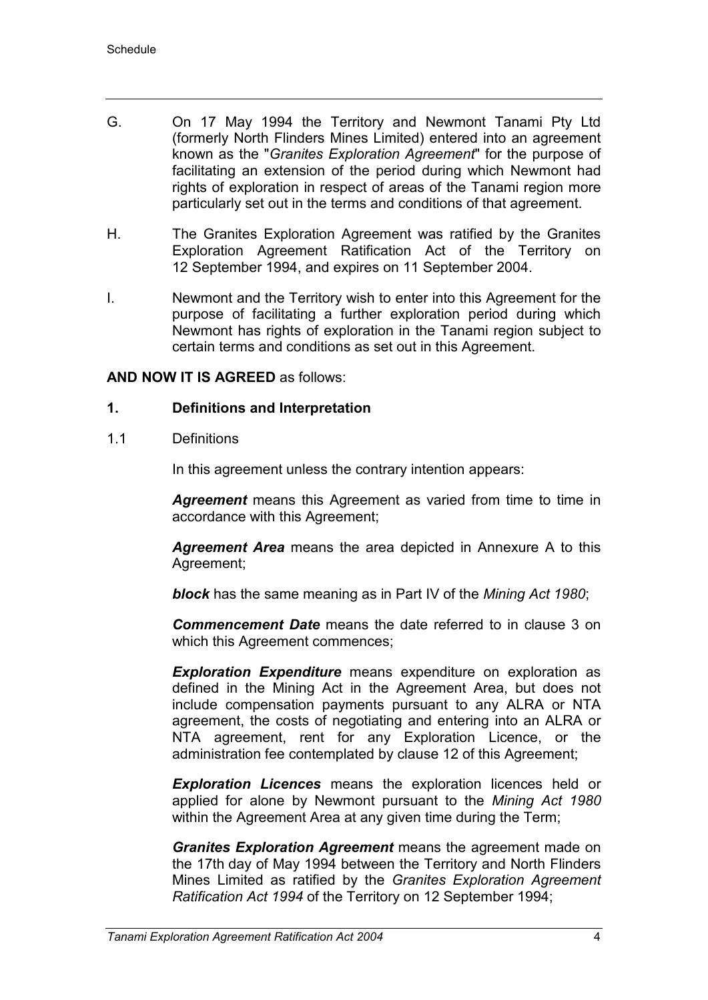- G. On 17 May 1994 the Territory and Newmont Tanami Pty Ltd (formerly North Flinders Mines Limited) entered into an agreement known as the "*Granites Exploration Agreement*" for the purpose of facilitating an extension of the period during which Newmont had rights of exploration in respect of areas of the Tanami region more particularly set out in the terms and conditions of that agreement.
- H. The Granites Exploration Agreement was ratified by the Granites Exploration Agreement Ratification Act of the Territory on 12 September 1994, and expires on 11 September 2004.
- I. Newmont and the Territory wish to enter into this Agreement for the purpose of facilitating a further exploration period during which Newmont has rights of exploration in the Tanami region subject to certain terms and conditions as set out in this Agreement.

#### **AND NOW IT IS AGREED** as follows:

#### **1. Definitions and Interpretation**

1.1 Definitions

In this agreement unless the contrary intention appears:

*Agreement* means this Agreement as varied from time to time in accordance with this Agreement;

*Agreement Area* means the area depicted in Annexure A to this Agreement;

*block* has the same meaning as in Part IV of the *Mining Act 1980*;

*Commencement Date* means the date referred to in clause 3 on which this Agreement commences;

*Exploration Expenditure* means expenditure on exploration as defined in the Mining Act in the Agreement Area, but does not include compensation payments pursuant to any ALRA or NTA agreement, the costs of negotiating and entering into an ALRA or NTA agreement, rent for any Exploration Licence, or the administration fee contemplated by clause 12 of this Agreement;

*Exploration Licences* means the exploration licences held or applied for alone by Newmont pursuant to the *Mining Act 1980* within the Agreement Area at any given time during the Term;

*Granites Exploration Agreement* means the agreement made on the 17th day of May 1994 between the Territory and North Flinders Mines Limited as ratified by the *Granites Exploration Agreement Ratification Act 1994* of the Territory on 12 September 1994;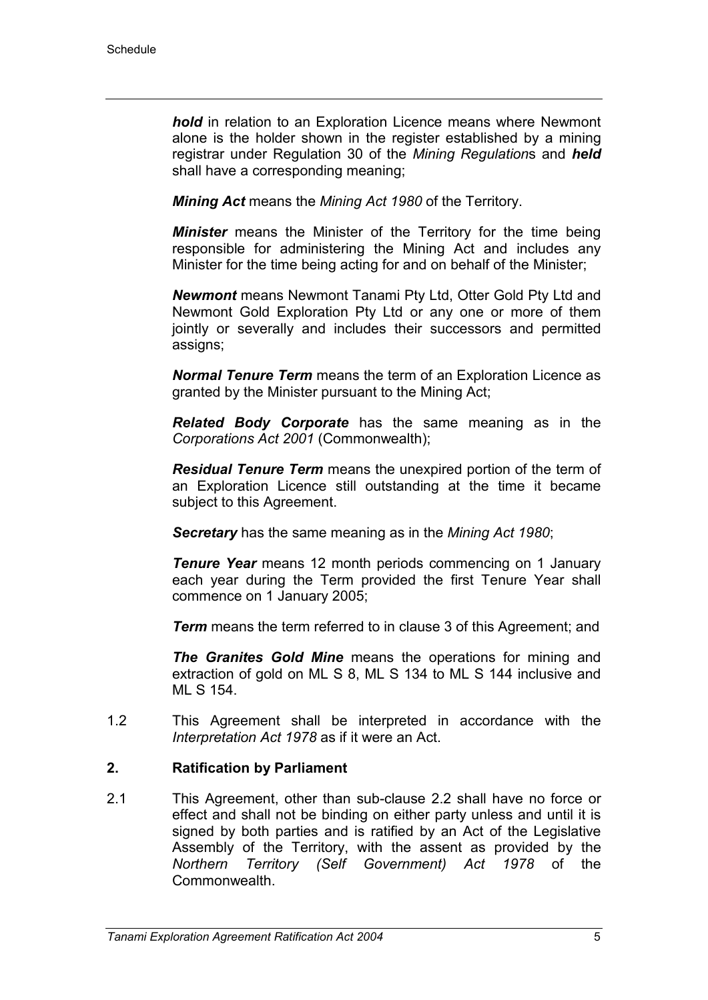*hold* in relation to an Exploration Licence means where Newmont alone is the holder shown in the register established by a mining registrar under Regulation 30 of the *Mining Regulation*s and *held* shall have a corresponding meaning;

*Mining Act* means the *Mining Act 1980* of the Territory.

*Minister* means the Minister of the Territory for the time being responsible for administering the Mining Act and includes any Minister for the time being acting for and on behalf of the Minister;

*Newmont* means Newmont Tanami Pty Ltd, Otter Gold Pty Ltd and Newmont Gold Exploration Pty Ltd or any one or more of them jointly or severally and includes their successors and permitted assigns;

*Normal Tenure Term* means the term of an Exploration Licence as granted by the Minister pursuant to the Mining Act;

*Related Body Corporate* has the same meaning as in the *Corporations Act 2001* (Commonwealth);

*Residual Tenure Term* means the unexpired portion of the term of an Exploration Licence still outstanding at the time it became subject to this Agreement.

*Secretary* has the same meaning as in the *Mining Act 1980*;

*Tenure Year* means 12 month periods commencing on 1 January each year during the Term provided the first Tenure Year shall commence on 1 January 2005;

*Term* means the term referred to in clause 3 of this Agreement; and

*The Granites Gold Mine* means the operations for mining and extraction of gold on ML S 8, ML S 134 to ML S 144 inclusive and ML S 154.

1.2 This Agreement shall be interpreted in accordance with the *Interpretation Act 1978* as if it were an Act.

## **2. Ratification by Parliament**

2.1 This Agreement, other than sub-clause 2.2 shall have no force or effect and shall not be binding on either party unless and until it is signed by both parties and is ratified by an Act of the Legislative Assembly of the Territory, with the assent as provided by the *Northern Territory (Self Government) Act 1978* of the Commonwealth.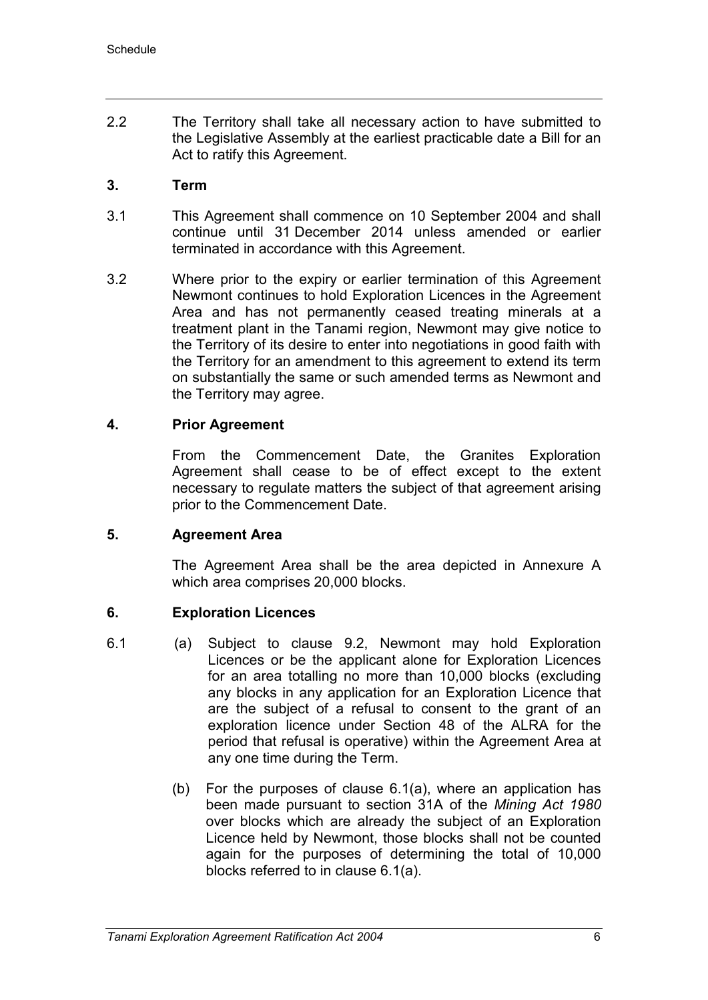2.2 The Territory shall take all necessary action to have submitted to the Legislative Assembly at the earliest practicable date a Bill for an Act to ratify this Agreement.

## **3. Term**

- 3.1 This Agreement shall commence on 10 September 2004 and shall continue until 31 December 2014 unless amended or earlier terminated in accordance with this Agreement.
- 3.2 Where prior to the expiry or earlier termination of this Agreement Newmont continues to hold Exploration Licences in the Agreement Area and has not permanently ceased treating minerals at a treatment plant in the Tanami region, Newmont may give notice to the Territory of its desire to enter into negotiations in good faith with the Territory for an amendment to this agreement to extend its term on substantially the same or such amended terms as Newmont and the Territory may agree.

## **4. Prior Agreement**

From the Commencement Date, the Granites Exploration Agreement shall cease to be of effect except to the extent necessary to regulate matters the subject of that agreement arising prior to the Commencement Date.

## **5. Agreement Area**

The Agreement Area shall be the area depicted in Annexure A which area comprises 20,000 blocks.

## **6. Exploration Licences**

- 6.1 (a) Subject to clause 9.2, Newmont may hold Exploration Licences or be the applicant alone for Exploration Licences for an area totalling no more than 10,000 blocks (excluding any blocks in any application for an Exploration Licence that are the subject of a refusal to consent to the grant of an exploration licence under Section 48 of the ALRA for the period that refusal is operative) within the Agreement Area at any one time during the Term.
	- (b) For the purposes of clause 6.1(a), where an application has been made pursuant to section 31A of the *Mining Act 1980* over blocks which are already the subject of an Exploration Licence held by Newmont, those blocks shall not be counted again for the purposes of determining the total of 10,000 blocks referred to in clause 6.1(a).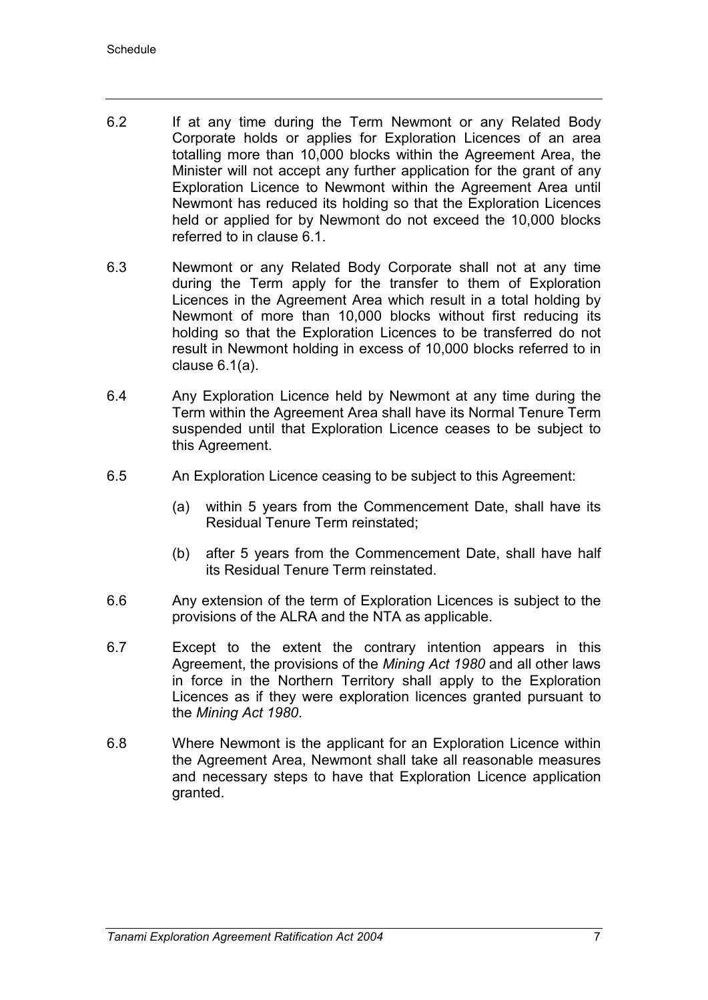- 6.2 If at any time during the Term Newmont or any Related Body Corporate holds or applies for Exploration Licences of an area totalling more than 10,000 blocks within the Agreement Area, the Minister will not accept any further application for the grant of any Exploration Licence to Newmont within the Agreement Area until Newmont has reduced its holding so that the Exploration Licences held or applied for by Newmont do not exceed the 10,000 blocks referred to in clause 6.1.
- 6.3 Newmont or any Related Body Corporate shall not at any time during the Term apply for the transfer to them of Exploration Licences in the Agreement Area which result in a total holding by Newmont of more than 10,000 blocks without first reducing its holding so that the Exploration Licences to be transferred do not result in Newmont holding in excess of 10,000 blocks referred to in clause 6.1(a).
- 6.4 Any Exploration Licence held by Newmont at any time during the Term within the Agreement Area shall have its Normal Tenure Term suspended until that Exploration Licence ceases to be subject to this Agreement.
- 6.5 An Exploration Licence ceasing to be subject to this Agreement:
	- (a) within 5 years from the Commencement Date, shall have its Residual Tenure Term reinstated;
	- (b) after 5 years from the Commencement Date, shall have half its Residual Tenure Term reinstated.
- 6.6 Any extension of the term of Exploration Licences is subject to the provisions of the ALRA and the NTA as applicable.
- 6.7 Except to the extent the contrary intention appears in this Agreement, the provisions of the *Mining Act 1980* and all other laws in force in the Northern Territory shall apply to the Exploration Licences as if they were exploration licences granted pursuant to the *Mining Act 1980*.
- 6.8 Where Newmont is the applicant for an Exploration Licence within the Agreement Area, Newmont shall take all reasonable measures and necessary steps to have that Exploration Licence application granted.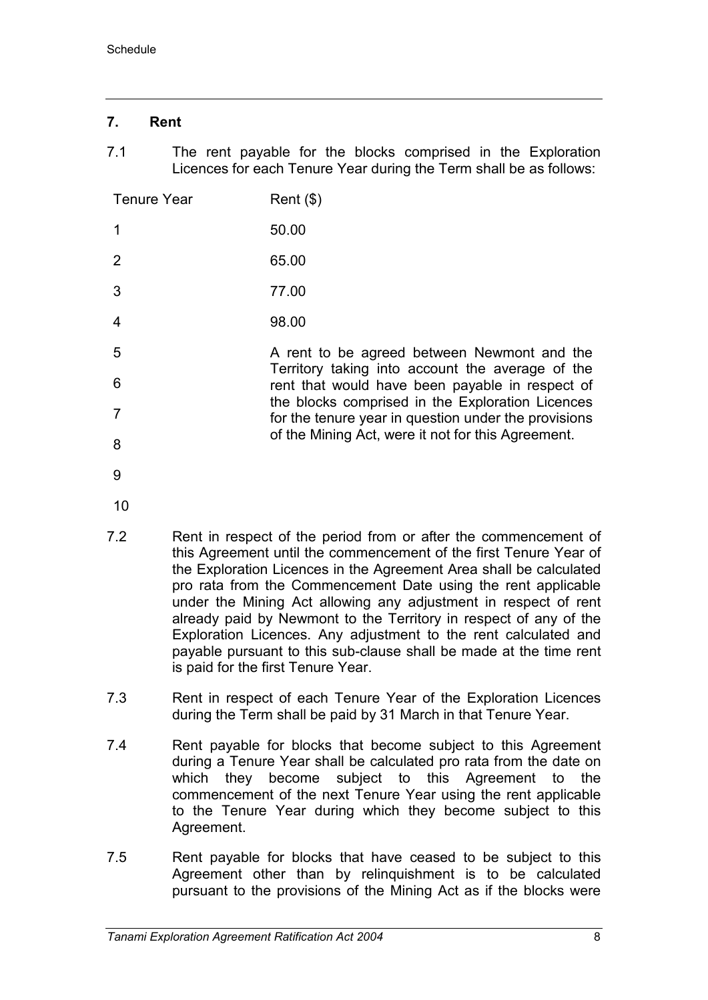## **7. Rent**

7.1 The rent payable for the blocks comprised in the Exploration Licences for each Tenure Year during the Term shall be as follows:

of the Mining Act, were it not for this Agreement.

| <b>Tenure Year</b> | $Rent$ (\$)                                                                                              |
|--------------------|----------------------------------------------------------------------------------------------------------|
|                    | 50.00                                                                                                    |
| 2                  | 65.00                                                                                                    |
| 3                  | 77.00                                                                                                    |
| $\overline{4}$     | 98.00                                                                                                    |
| 5                  | A rent to be agreed between Newmont and the                                                              |
| 6                  | Territory taking into account the average of the<br>rent that would have been payable in respect of      |
|                    | the blocks comprised in the Exploration Licences<br>for the tenure year in question under the provisions |

9

8

- 10
- 7.2 Rent in respect of the period from or after the commencement of this Agreement until the commencement of the first Tenure Year of the Exploration Licences in the Agreement Area shall be calculated pro rata from the Commencement Date using the rent applicable under the Mining Act allowing any adjustment in respect of rent already paid by Newmont to the Territory in respect of any of the Exploration Licences. Any adjustment to the rent calculated and payable pursuant to this sub-clause shall be made at the time rent is paid for the first Tenure Year.
- 7.3 Rent in respect of each Tenure Year of the Exploration Licences during the Term shall be paid by 31 March in that Tenure Year.
- 7.4 Rent payable for blocks that become subject to this Agreement during a Tenure Year shall be calculated pro rata from the date on which they become subject to this Agreement to the commencement of the next Tenure Year using the rent applicable to the Tenure Year during which they become subject to this Agreement.
- 7.5 Rent payable for blocks that have ceased to be subject to this Agreement other than by relinquishment is to be calculated pursuant to the provisions of the Mining Act as if the blocks were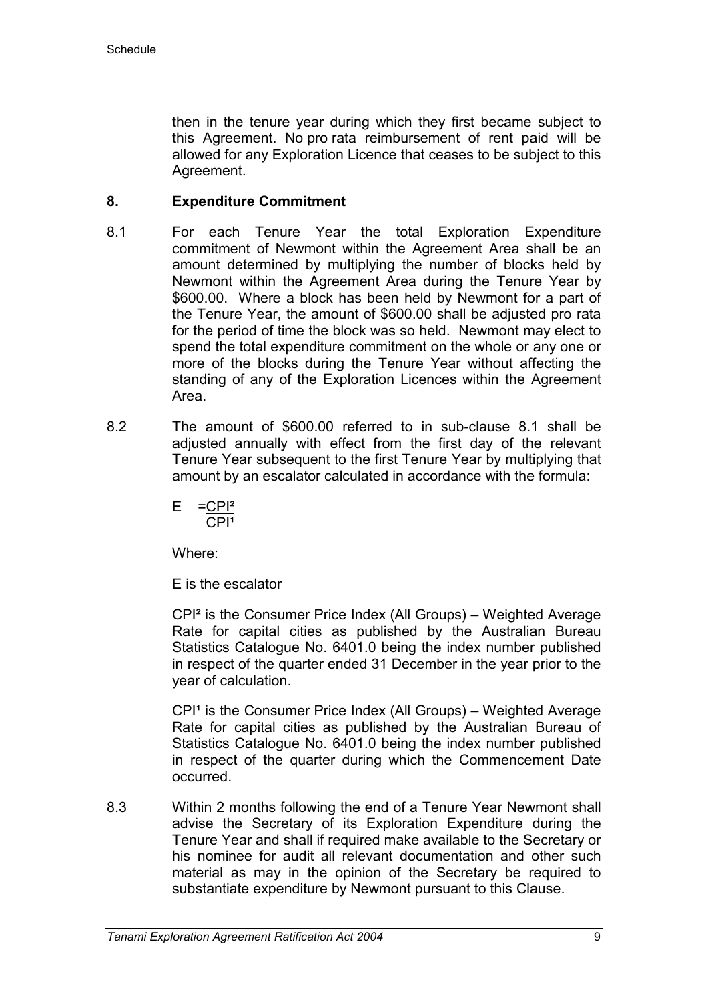then in the tenure year during which they first became subject to this Agreement. No pro rata reimbursement of rent paid will be allowed for any Exploration Licence that ceases to be subject to this Agreement.

## **8. Expenditure Commitment**

- 8.1 For each Tenure Year the total Exploration Expenditure commitment of Newmont within the Agreement Area shall be an amount determined by multiplying the number of blocks held by Newmont within the Agreement Area during the Tenure Year by \$600.00. Where a block has been held by Newmont for a part of the Tenure Year, the amount of \$600.00 shall be adjusted pro rata for the period of time the block was so held. Newmont may elect to spend the total expenditure commitment on the whole or any one or more of the blocks during the Tenure Year without affecting the standing of any of the Exploration Licences within the Agreement Area.
- 8.2 The amount of \$600.00 referred to in sub-clause 8.1 shall be adjusted annually with effect from the first day of the relevant Tenure Year subsequent to the first Tenure Year by multiplying that amount by an escalator calculated in accordance with the formula:

$$
E = \frac{-CPI^2}{CPI^1}
$$

Where:

E is the escalator

CPI² is the Consumer Price Index (All Groups) – Weighted Average Rate for capital cities as published by the Australian Bureau Statistics Catalogue No. 6401.0 being the index number published in respect of the quarter ended 31 December in the year prior to the year of calculation.

 $CPI<sup>1</sup>$  is the Consumer Price Index (All Groups) – Weighted Average Rate for capital cities as published by the Australian Bureau of Statistics Catalogue No. 6401.0 being the index number published in respect of the quarter during which the Commencement Date occurred.

8.3 Within 2 months following the end of a Tenure Year Newmont shall advise the Secretary of its Exploration Expenditure during the Tenure Year and shall if required make available to the Secretary or his nominee for audit all relevant documentation and other such material as may in the opinion of the Secretary be required to substantiate expenditure by Newmont pursuant to this Clause.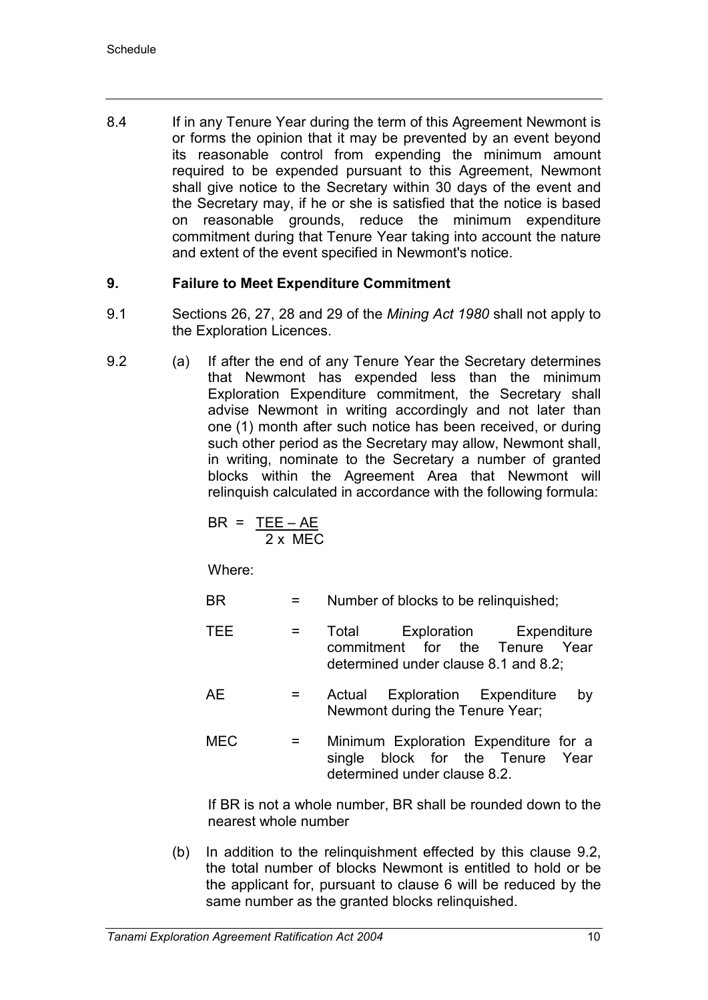8.4 If in any Tenure Year during the term of this Agreement Newmont is or forms the opinion that it may be prevented by an event beyond its reasonable control from expending the minimum amount required to be expended pursuant to this Agreement, Newmont shall give notice to the Secretary within 30 days of the event and the Secretary may, if he or she is satisfied that the notice is based on reasonable grounds, reduce the minimum expenditure commitment during that Tenure Year taking into account the nature and extent of the event specified in Newmont's notice.

## **9. Failure to Meet Expenditure Commitment**

- 9.1 Sections 26, 27, 28 and 29 of the *Mining Act 1980* shall not apply to the Exploration Licences.
- 9.2 (a) If after the end of any Tenure Year the Secretary determines that Newmont has expended less than the minimum Exploration Expenditure commitment, the Secretary shall advise Newmont in writing accordingly and not later than one (1) month after such notice has been received, or during such other period as the Secretary may allow, Newmont shall, in writing, nominate to the Secretary a number of granted blocks within the Agreement Area that Newmont will relinquish calculated in accordance with the following formula:

$$
BR = \frac{TEE - AE}{2 \times MEC}
$$

Where:

- BR  $=$  Number of blocks to be relinquished;
- TEE = Total Exploration Expenditure commitment for the Tenure Year determined under clause 8.1 and 8.2;
- AE = Actual Exploration Expenditure by Newmont during the Tenure Year;
- MEC = Minimum Exploration Expenditure for a single block for the Tenure Year determined under clause 8.2.

If BR is not a whole number, BR shall be rounded down to the nearest whole number

(b) In addition to the relinquishment effected by this clause 9.2, the total number of blocks Newmont is entitled to hold or be the applicant for, pursuant to clause 6 will be reduced by the same number as the granted blocks relinquished.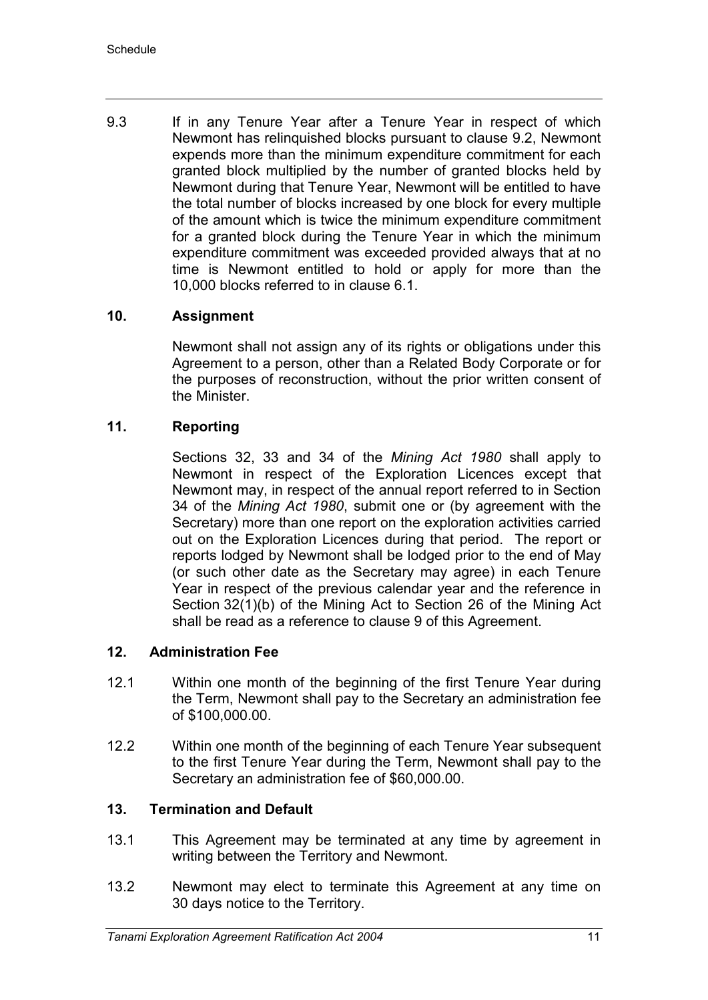9.3 If in any Tenure Year after a Tenure Year in respect of which Newmont has relinquished blocks pursuant to clause 9.2, Newmont expends more than the minimum expenditure commitment for each granted block multiplied by the number of granted blocks held by Newmont during that Tenure Year, Newmont will be entitled to have the total number of blocks increased by one block for every multiple of the amount which is twice the minimum expenditure commitment for a granted block during the Tenure Year in which the minimum expenditure commitment was exceeded provided always that at no time is Newmont entitled to hold or apply for more than the 10,000 blocks referred to in clause 6.1.

## **10. Assignment**

Newmont shall not assign any of its rights or obligations under this Agreement to a person, other than a Related Body Corporate or for the purposes of reconstruction, without the prior written consent of the Minister.

## **11. Reporting**

Sections 32, 33 and 34 of the *Mining Act 1980* shall apply to Newmont in respect of the Exploration Licences except that Newmont may, in respect of the annual report referred to in Section 34 of the *Mining Act 1980*, submit one or (by agreement with the Secretary) more than one report on the exploration activities carried out on the Exploration Licences during that period. The report or reports lodged by Newmont shall be lodged prior to the end of May (or such other date as the Secretary may agree) in each Tenure Year in respect of the previous calendar year and the reference in Section 32(1)(b) of the Mining Act to Section 26 of the Mining Act shall be read as a reference to clause 9 of this Agreement.

## **12. Administration Fee**

- 12.1 Within one month of the beginning of the first Tenure Year during the Term, Newmont shall pay to the Secretary an administration fee of \$100,000.00.
- 12.2 Within one month of the beginning of each Tenure Year subsequent to the first Tenure Year during the Term, Newmont shall pay to the Secretary an administration fee of \$60,000.00.

## **13. Termination and Default**

- 13.1 This Agreement may be terminated at any time by agreement in writing between the Territory and Newmont.
- 13.2 Newmont may elect to terminate this Agreement at any time on 30 days notice to the Territory.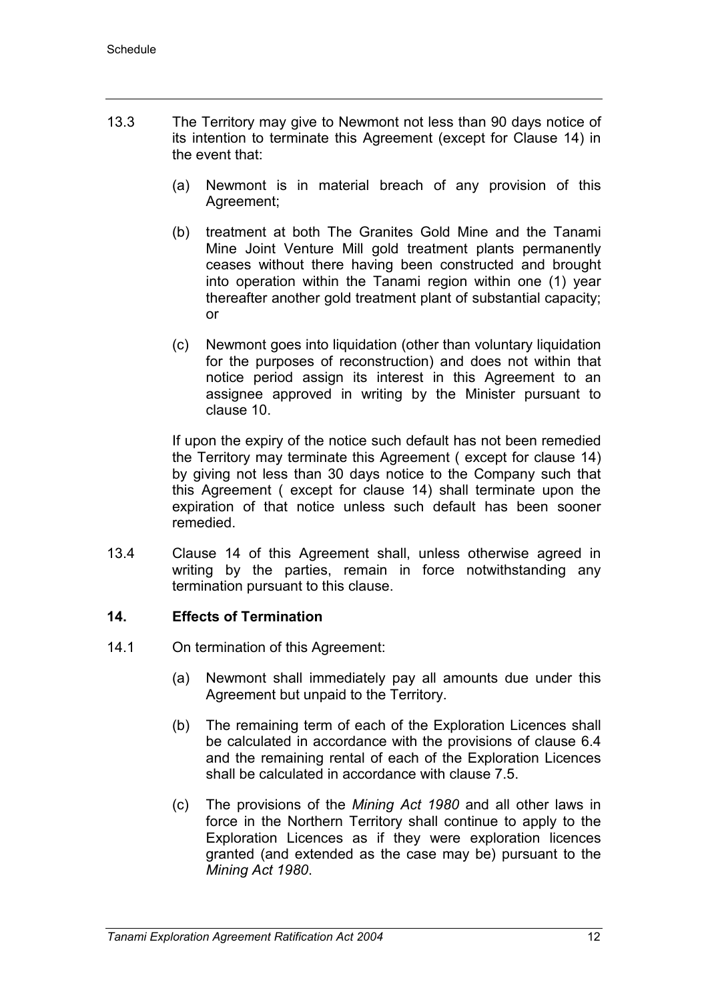- 13.3 The Territory may give to Newmont not less than 90 days notice of its intention to terminate this Agreement (except for Clause 14) in the event that:
	- (a) Newmont is in material breach of any provision of this Agreement;
	- (b) treatment at both The Granites Gold Mine and the Tanami Mine Joint Venture Mill gold treatment plants permanently ceases without there having been constructed and brought into operation within the Tanami region within one (1) year thereafter another gold treatment plant of substantial capacity; or
	- (c) Newmont goes into liquidation (other than voluntary liquidation for the purposes of reconstruction) and does not within that notice period assign its interest in this Agreement to an assignee approved in writing by the Minister pursuant to clause 10.

If upon the expiry of the notice such default has not been remedied the Territory may terminate this Agreement ( except for clause 14) by giving not less than 30 days notice to the Company such that this Agreement ( except for clause 14) shall terminate upon the expiration of that notice unless such default has been sooner remedied.

13.4 Clause 14 of this Agreement shall, unless otherwise agreed in writing by the parties, remain in force notwithstanding any termination pursuant to this clause.

## **14. Effects of Termination**

- 14.1 On termination of this Agreement:
	- (a) Newmont shall immediately pay all amounts due under this Agreement but unpaid to the Territory.
	- (b) The remaining term of each of the Exploration Licences shall be calculated in accordance with the provisions of clause 6.4 and the remaining rental of each of the Exploration Licences shall be calculated in accordance with clause 7.5.
	- (c) The provisions of the *Mining Act 1980* and all other laws in force in the Northern Territory shall continue to apply to the Exploration Licences as if they were exploration licences granted (and extended as the case may be) pursuant to the *Mining Act 1980*.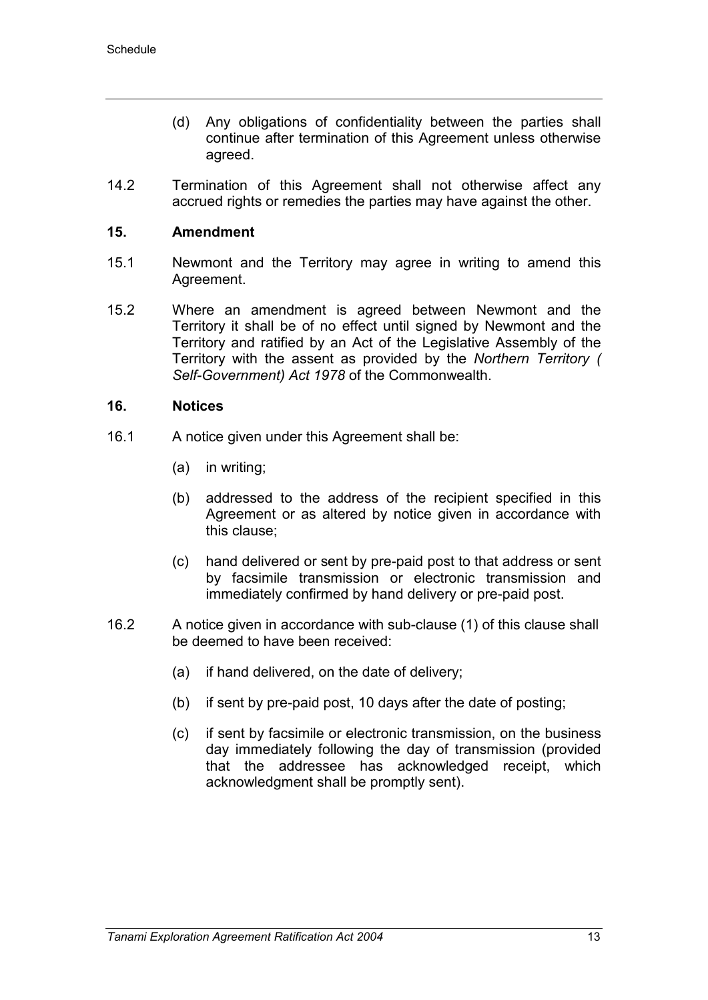- (d) Any obligations of confidentiality between the parties shall continue after termination of this Agreement unless otherwise agreed.
- 14.2 Termination of this Agreement shall not otherwise affect any accrued rights or remedies the parties may have against the other.

## **15. Amendment**

- 15.1 Newmont and the Territory may agree in writing to amend this Agreement.
- 15.2 Where an amendment is agreed between Newmont and the Territory it shall be of no effect until signed by Newmont and the Territory and ratified by an Act of the Legislative Assembly of the Territory with the assent as provided by the *Northern Territory ( Self-Government) Act 1978* of the Commonwealth.

#### **16. Notices**

- 16.1 A notice given under this Agreement shall be:
	- (a) in writing;
	- (b) addressed to the address of the recipient specified in this Agreement or as altered by notice given in accordance with this clause;
	- (c) hand delivered or sent by pre-paid post to that address or sent by facsimile transmission or electronic transmission and immediately confirmed by hand delivery or pre-paid post.
- 16.2 A notice given in accordance with sub-clause (1) of this clause shall be deemed to have been received:
	- (a) if hand delivered, on the date of delivery;
	- (b) if sent by pre-paid post, 10 days after the date of posting;
	- (c) if sent by facsimile or electronic transmission, on the business day immediately following the day of transmission (provided that the addressee has acknowledged receipt, which acknowledgment shall be promptly sent).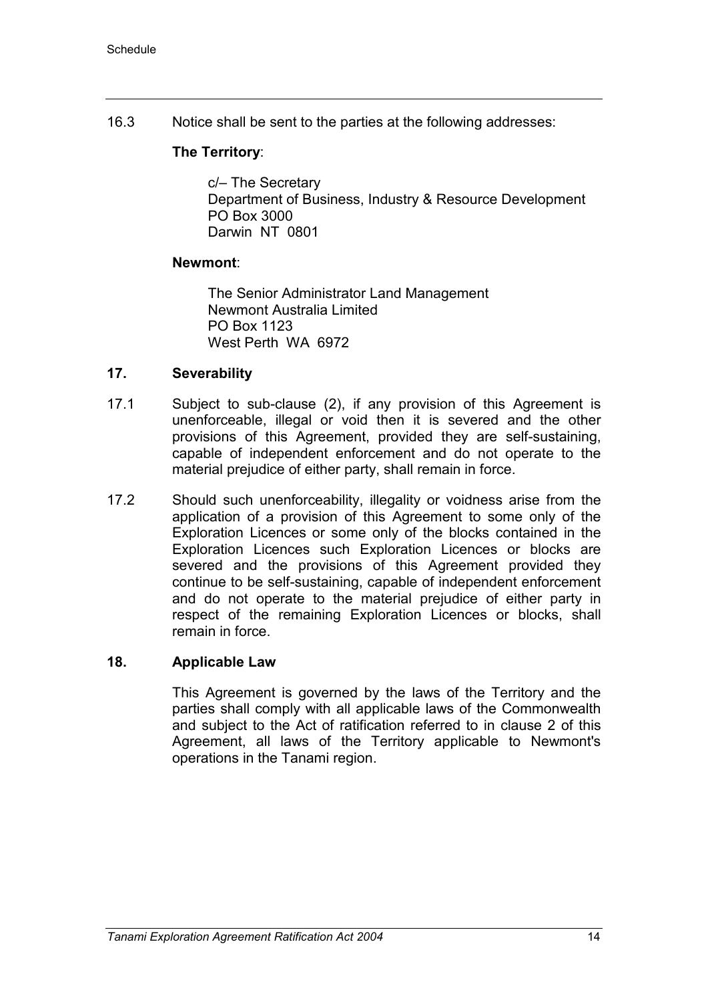16.3 Notice shall be sent to the parties at the following addresses:

## **The Territory**:

c/– The Secretary Department of Business, Industry & Resource Development PO Box 3000 Darwin NT 0801

## **Newmont**:

The Senior Administrator Land Management Newmont Australia Limited PO Box 1123 West Perth WA 6972

## **17. Severability**

- 17.1 Subject to sub-clause (2), if any provision of this Agreement is unenforceable, illegal or void then it is severed and the other provisions of this Agreement, provided they are self-sustaining, capable of independent enforcement and do not operate to the material prejudice of either party, shall remain in force.
- 17.2 Should such unenforceability, illegality or voidness arise from the application of a provision of this Agreement to some only of the Exploration Licences or some only of the blocks contained in the Exploration Licences such Exploration Licences or blocks are severed and the provisions of this Agreement provided they continue to be self-sustaining, capable of independent enforcement and do not operate to the material prejudice of either party in respect of the remaining Exploration Licences or blocks, shall remain in force.

## **18. Applicable Law**

This Agreement is governed by the laws of the Territory and the parties shall comply with all applicable laws of the Commonwealth and subject to the Act of ratification referred to in clause 2 of this Agreement, all laws of the Territory applicable to Newmont's operations in the Tanami region.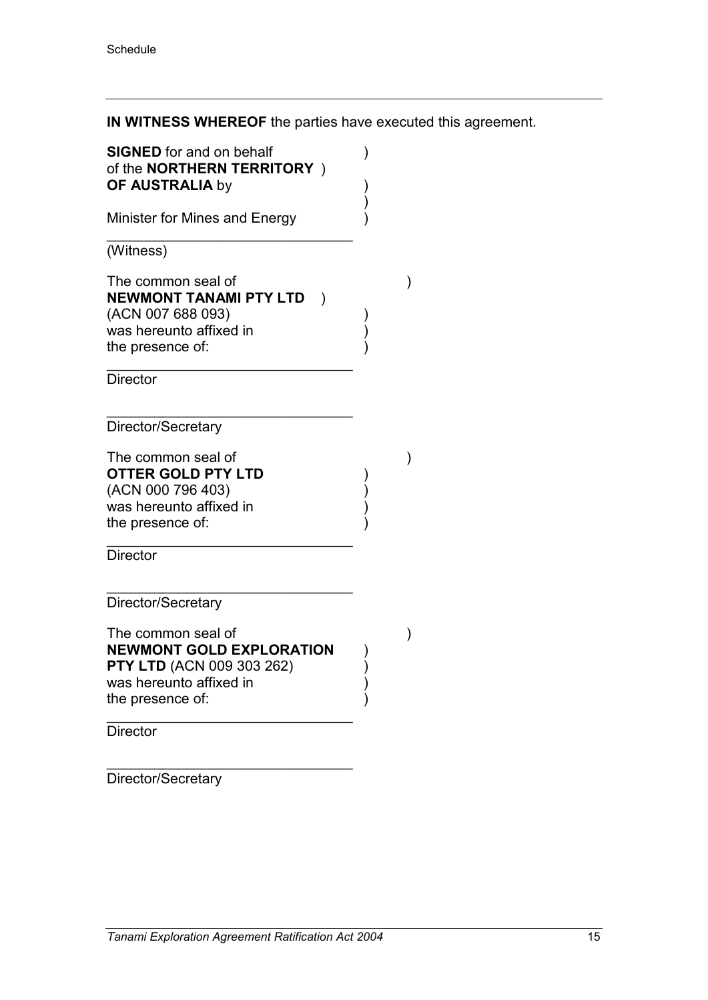**IN WITNESS WHEREOF** the parties have executed this agreement.

| <b>SIGNED</b> for and on behalf<br>of the <b>NORTHERN TERRITORY</b> )<br><b>OF AUSTRALIA by</b>                                          |               |  |
|------------------------------------------------------------------------------------------------------------------------------------------|---------------|--|
| Minister for Mines and Energy                                                                                                            |               |  |
| (Witness)                                                                                                                                |               |  |
| The common seal of<br><b>NEWMONT TANAMI PTY LTD</b><br>(ACN 007 688 093)<br>was hereunto affixed in<br>the presence of:                  | $\mathcal{E}$ |  |
| <b>Director</b>                                                                                                                          |               |  |
| Director/Secretary                                                                                                                       |               |  |
| The common seal of<br><b>OTTER GOLD PTY LTD</b><br>(ACN 000 796 403)<br>was hereunto affixed in<br>the presence of:                      |               |  |
| <b>Director</b>                                                                                                                          |               |  |
| Director/Secretary                                                                                                                       |               |  |
| The common seal of<br><b>NEWMONT GOLD EXPLORATION</b><br><b>PTY LTD</b> (ACN 009 303 262)<br>was hereunto affixed in<br>the presence of: |               |  |
| <b>Director</b>                                                                                                                          |               |  |
|                                                                                                                                          |               |  |

Director/Secretary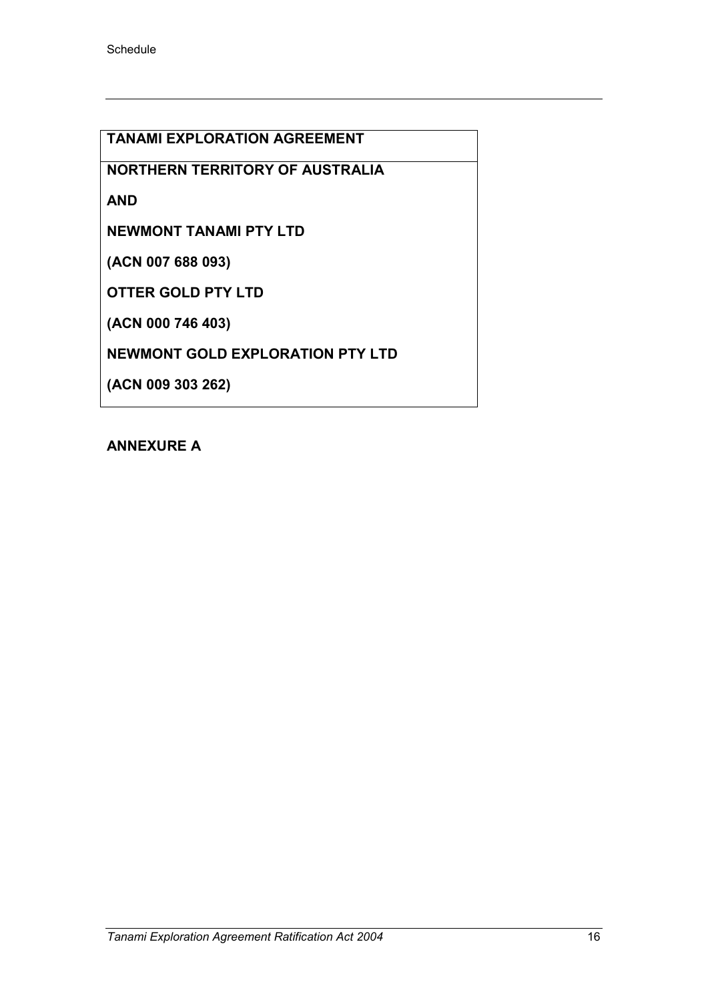**TANAMI EXPLORATION AGREEMENT**

**NORTHERN TERRITORY OF AUSTRALIA**

**AND**

**NEWMONT TANAMI PTY LTD**

**(ACN 007 688 093)**

**OTTER GOLD PTY LTD**

**(ACN 000 746 403)**

**NEWMONT GOLD EXPLORATION PTY LTD**

**(ACN 009 303 262)**

## **ANNEXURE A**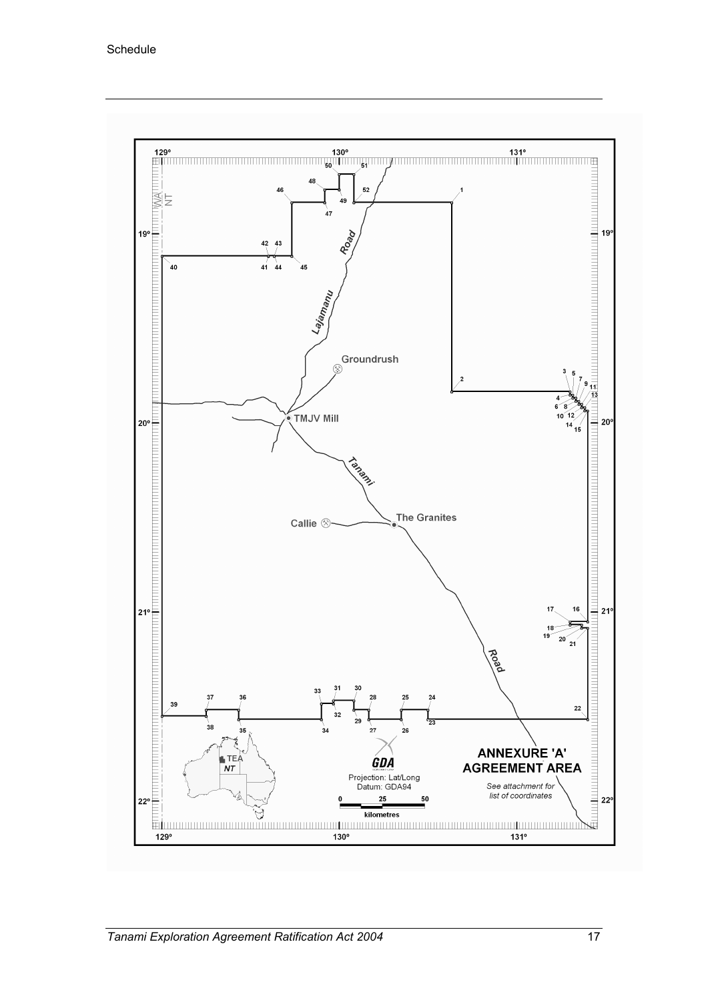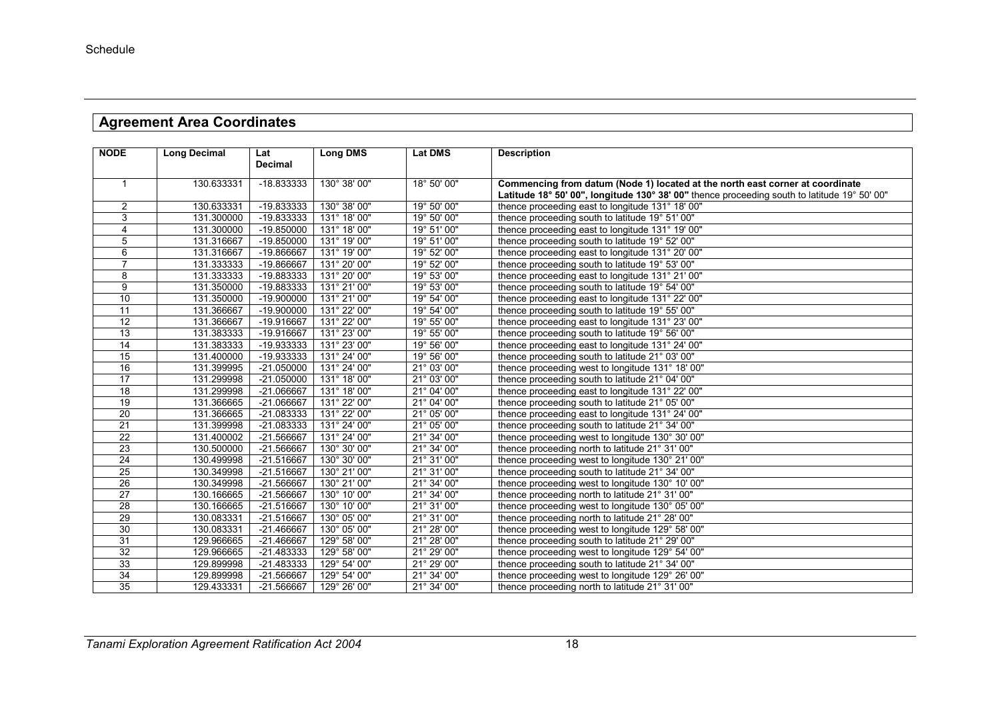# **Agreement Area Coordinates**

| <b>NODE</b>     | Long Decimal | Lat            | <b>Long DMS</b> | <b>Lat DMS</b> | <b>Description</b>                                                                           |
|-----------------|--------------|----------------|-----------------|----------------|----------------------------------------------------------------------------------------------|
|                 |              | <b>Decimal</b> |                 |                |                                                                                              |
| $\mathbf{1}$    | 130.633331   | -18.833333     | 130° 38' 00"    | 18° 50' 00"    | Commencing from datum (Node 1) located at the north east corner at coordinate                |
|                 |              |                |                 |                | Latitude 18° 50' 00", longitude 130° 38' 00" thence proceeding south to latitude 19° 50' 00" |
| $\overline{2}$  | 130.633331   | -19.833333     | 130° 38' 00"    | 19° 50' 00"    | thence proceeding east to longitude 131° 18' 00"                                             |
| 3               | 131.300000   | -19.833333     | 131° 18' 00"    | 19° 50' 00"    | thence proceeding south to latitude 19° 51' 00"                                              |
| 4               | 131.300000   | -19.850000     | 131° 18' 00"    | 19° 51' 00"    | thence proceeding east to longitude 131° 19' 00"                                             |
| 5               | 131.316667   | -19.850000     | 131° 19' 00"    | 19° 51' 00"    | thence proceeding south to latitude 19° 52' 00"                                              |
| 6               | 131.316667   | -19.866667     | 131° 19' 00"    | 19° 52' 00"    | thence proceeding east to longitude 131° 20' 00"                                             |
| $\overline{7}$  | 131.333333   | -19.866667     | 131° 20' 00"    | 19° 52' 00"    | thence proceeding south to latitude 19° 53' 00"                                              |
| 8               | 131.333333   | -19.883333     | 131° 20' 00"    | 19° 53' 00"    | thence proceeding east to longitude 131° 21' 00"                                             |
| 9               | 131.350000   | -19.883333     | 131° 21' 00"    | 19° 53' 00"    | thence proceeding south to latitude 19° 54' 00"                                              |
| 10              | 131.350000   | $-19.900000$   | 131° 21' 00"    | 19° 54' 00"    | thence proceeding east to longitude 131° 22' 00"                                             |
| 11              | 131.366667   | $-19.900000$   | 131° 22' 00"    | 19° 54' 00"    | thence proceeding south to latitude 19° 55' 00"                                              |
| 12              | 131.366667   | -19.916667     | 131° 22' 00"    | 19° 55' 00"    | thence proceeding east to longitude 131° 23' 00"                                             |
| 13              | 131.383333   | -19.916667     | 131° 23' 00"    | 19° 55' 00"    | thence proceeding south to latitude 19° 56' 00"                                              |
| $\overline{14}$ | 131.383333   | -19.933333     | 131° 23' 00"    | 19° 56' 00"    | thence proceeding east to longitude 131° 24' 00"                                             |
| 15              | 131.400000   | -19.933333     | 131° 24' 00"    | 19° 56' 00"    | thence proceeding south to latitude 21° 03' 00"                                              |
| $\overline{16}$ | 131.399995   | $-21.050000$   | 131° 24' 00"    | 21° 03' 00"    | thence proceeding west to longitude 131° 18' 00"                                             |
| $\overline{17}$ | 131.299998   | $-21.050000$   | 131° 18' 00"    | 21° 03' 00"    | thence proceeding south to latitude 21° 04' 00"                                              |
| $\overline{18}$ | 131.299998   | -21.066667     | 131° 18' 00"    | 21° 04' 00"    | thence proceeding east to longitude 131° 22' 00"                                             |
| 19              | 131.366665   | -21.066667     | 131° 22' 00"    | 21° 04' 00"    | thence proceeding south to latitude 21° 05' 00"                                              |
| 20              | 131.366665   | $-21.083333$   | 131° 22' 00"    | 21° 05' 00"    | thence proceeding east to longitude 131° 24' 00"                                             |
| 21              | 131.399998   | -21.083333     | 131° 24' 00"    | 21° 05' 00"    | thence proceeding south to latitude 21° 34' 00"                                              |
| $\overline{22}$ | 131.400002   | -21.566667     | 131° 24' 00"    | 21° 34' 00"    | thence proceeding west to longitude 130° 30' 00"                                             |
| 23              | 130.500000   | -21.566667     | 130° 30' 00"    | 21° 34' 00"    | thence proceeding north to latitude 21° 31' 00"                                              |
| $\overline{24}$ | 130.499998   | -21.516667     | 130° 30' 00"    | 21° 31' 00"    | thence proceeding west to longitude 130° 21' 00"                                             |
| $\overline{25}$ | 130.349998   | -21.516667     | 130° 21' 00"    | 21° 31' 00"    | thence proceeding south to latitude 21° 34' 00"                                              |
| 26              | 130.349998   | -21.566667     | 130° 21' 00"    | 21° 34' 00"    | thence proceeding west to longitude 130° 10' 00"                                             |
| $\overline{27}$ | 130.166665   | -21.566667     | 130° 10' 00"    | 21° 34' 00"    | thence proceeding north to latitude 21° 31' 00"                                              |
| 28              | 130.166665   | $-21.516667$   | 130° 10' 00"    | 21° 31' 00"    | thence proceeding west to longitude 130° 05' 00"                                             |
| 29              | 130.083331   | -21.516667     | 130° 05' 00"    | 21° 31' 00"    | thence proceeding north to latitude 21° 28' 00"                                              |
| 30              | 130.083331   | -21.466667     | 130° 05' 00"    | 21° 28' 00"    | thence proceeding west to longitude 129° 58' 00"                                             |
| 31              | 129.966665   | -21.466667     | 129° 58' 00"    | 21° 28' 00"    | thence proceeding south to latitude 21° 29' 00"                                              |
| 32              | 129.966665   | $-21.483333$   | 129° 58' 00"    | 21° 29' 00"    | thence proceeding west to longitude 129° 54' 00"                                             |
| 33              | 129.899998   | -21.483333     | 129° 54' 00"    | 21° 29' 00"    | thence proceeding south to latitude 21° 34' 00"                                              |
| 34              | 129.899998   | -21.566667     | 129° 54' 00"    | 21° 34' 00"    | thence proceeding west to longitude 129° 26' 00"                                             |
| 35              | 129.433331   | -21.566667     | 129° 26' 00"    | 21° 34' 00"    | thence proceeding north to latitude 21° 31' 00"                                              |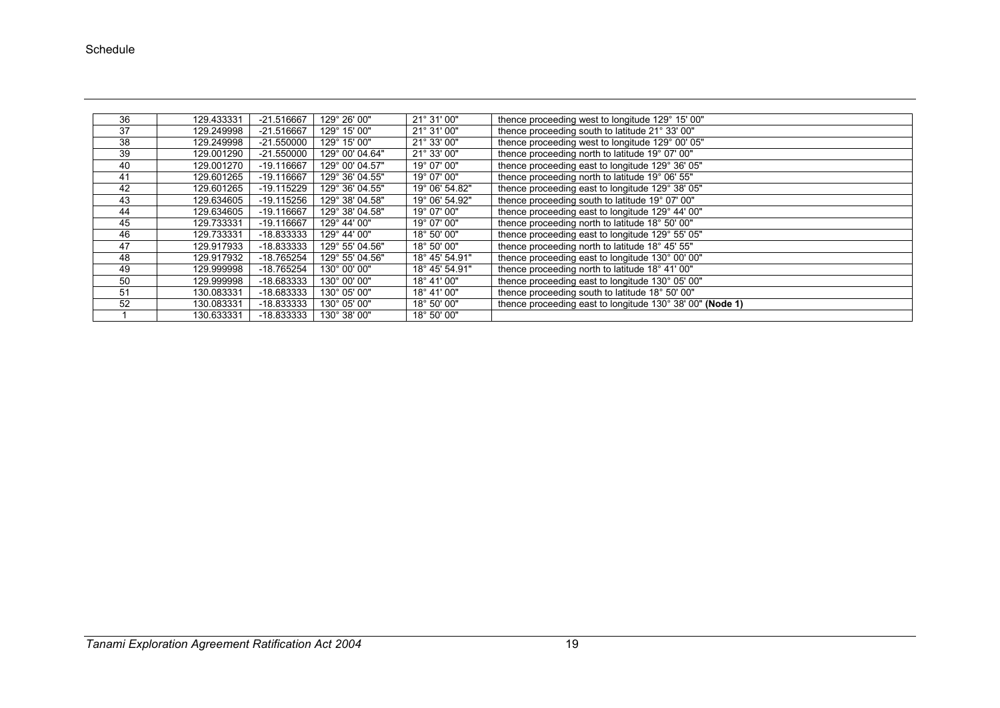| 36 | 129.433331 | -21.516667   | 129° 26' 00"    | 21° 31' 00"    | thence proceeding west to longitude 129° 15' 00"          |
|----|------------|--------------|-----------------|----------------|-----------------------------------------------------------|
| 37 | 129.249998 | -21.516667   | 129° 15' 00"    | 21° 31' 00"    | thence proceeding south to latitude 21° 33' 00"           |
| 38 | 129.249998 | $-21.550000$ | 129° 15' 00"    | 21° 33' 00"    | thence proceeding west to longitude 129° 00' 05"          |
| 39 | 129.001290 | $-21.550000$ | 129° 00' 04.64" | 21° 33' 00"    | thence proceeding north to latitude 19° 07' 00"           |
| 40 | 129.001270 | -19.116667   | 129° 00' 04.57" | 19° 07' 00"    | thence proceeding east to longitude 129° 36' 05"          |
| 41 | 129.601265 | -19.116667   | 129° 36' 04.55" | 19° 07' 00"    | thence proceeding north to latitude 19° 06' 55"           |
| 42 | 129.601265 | -19.115229   | 129° 36' 04.55" | 19° 06' 54.82" | thence proceeding east to longitude 129° 38' 05"          |
| 43 | 129.634605 | $-19.115256$ | 129° 38' 04.58" | 19° 06' 54.92" | thence proceeding south to latitude 19° 07' 00"           |
| 44 | 129.634605 | -19.116667   | 129° 38' 04.58" | 19° 07' 00"    | thence proceeding east to longitude 129° 44' 00"          |
| 45 | 129.733331 | -19.116667   | 129° 44' 00"    | 19° 07' 00"    | thence proceeding north to latitude 18° 50' 00"           |
| 46 | 129.733331 | -18.833333   | 129° 44' 00"    | 18° 50' 00"    | thence proceeding east to longitude 129° 55' 05"          |
| 47 | 129.917933 | -18.833333   | 129° 55' 04.56" | 18° 50' 00"    | thence proceeding north to latitude 18° 45' 55"           |
| 48 | 129.917932 | -18.765254   | 129° 55' 04.56" | 18° 45' 54.91" | thence proceeding east to longitude 130° 00' 00"          |
| 49 | 129.999998 | -18.765254   | 130° 00' 00"    | 18° 45' 54.91" | thence proceeding north to latitude 18° 41' 00"           |
| 50 | 129.999998 | -18.683333   | 130° 00' 00"    | 18° 41' 00"    | thence proceeding east to longitude 130° 05' 00"          |
| 51 | 130.083331 | -18.683333   | 130° 05' 00"    | 18° 41' 00"    | thence proceeding south to latitude 18° 50' 00"           |
| 52 | 130.083331 | -18.833333   | 130° 05' 00"    | 18° 50' 00"    | thence proceeding east to longitude 130° 38' 00" (Node 1) |
|    | 130.633331 | -18.833333   | 130° 38' 00"    | 18° 50' 00"    |                                                           |